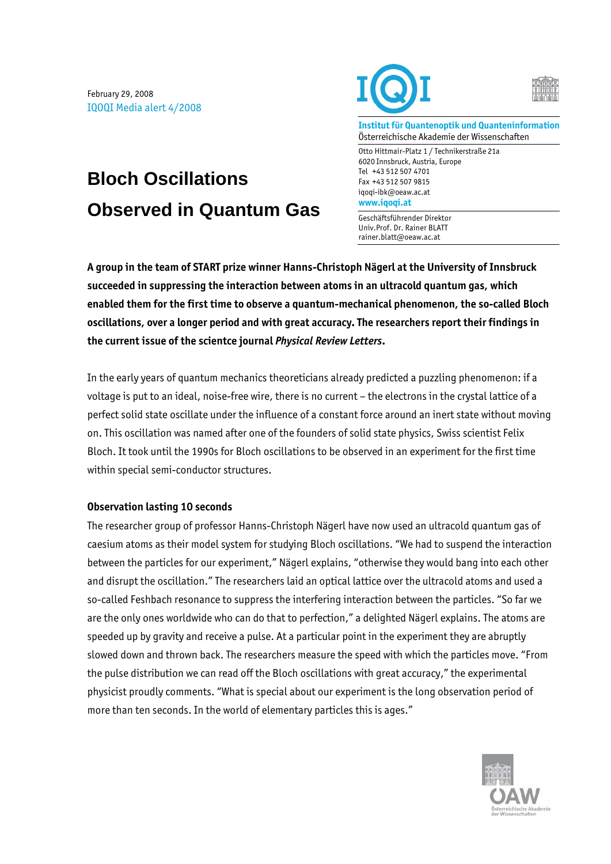February 29, 2008 IQOQI Media alert 4/2008

## **Bloch Oscillations Observed in Quantum Gas**



**Institut für Quantenoptik und Quanteninformation**  Österreichische Akademie der Wissenschaften

Otto Hittmair-Platz 1 / Technikerstraße 21a 6020 Innsbruck, Austria, Europe Tel +43 512 507 4701 Fax +43 512 507 9815 iqoqi-ibk@oeaw.ac.at **www.iqoqi.at** 

Geschäftsführender Direktor Univ.Prof. Dr. Rainer BLATT rainer.blatt@oeaw.ac.at

**A group in the team of START prize winner Hanns-Christoph Nägerl at the University of Innsbruck succeeded in suppressing the interaction between atoms in an ultracold quantum gas, which enabled them for the first time to observe a quantum-mechanical phenomenon, the so-called Bloch oscillations, over a longer period and with great accuracy. The researchers report their findings in the current issue of the scientce journal** *Physical Review Letters***.** 

In the early years of quantum mechanics theoreticians already predicted a puzzling phenomenon: if a voltage is put to an ideal, noise-free wire, there is no current – the electrons in the crystal lattice of a perfect solid state oscillate under the influence of a constant force around an inert state without moving on. This oscillation was named after one of the founders of solid state physics, Swiss scientist Felix Bloch. It took until the 1990s for Bloch oscillations to be observed in an experiment for the first time within special semi-conductor structures.

## **Observation lasting 10 seconds**

The researcher group of professor Hanns-Christoph Nägerl have now used an ultracold quantum gas of caesium atoms as their model system for studying Bloch oscillations. "We had to suspend the interaction between the particles for our experiment," Nägerl explains, "otherwise they would bang into each other and disrupt the oscillation." The researchers laid an optical lattice over the ultracold atoms and used a so-called Feshbach resonance to suppress the interfering interaction between the particles. "So far we are the only ones worldwide who can do that to perfection," a delighted Nägerl explains. The atoms are speeded up by gravity and receive a pulse. At a particular point in the experiment they are abruptly slowed down and thrown back. The researchers measure the speed with which the particles move. "From the pulse distribution we can read off the Bloch oscillations with great accuracy," the experimental physicist proudly comments. "What is special about our experiment is the long observation period of more than ten seconds. In the world of elementary particles this is ages."